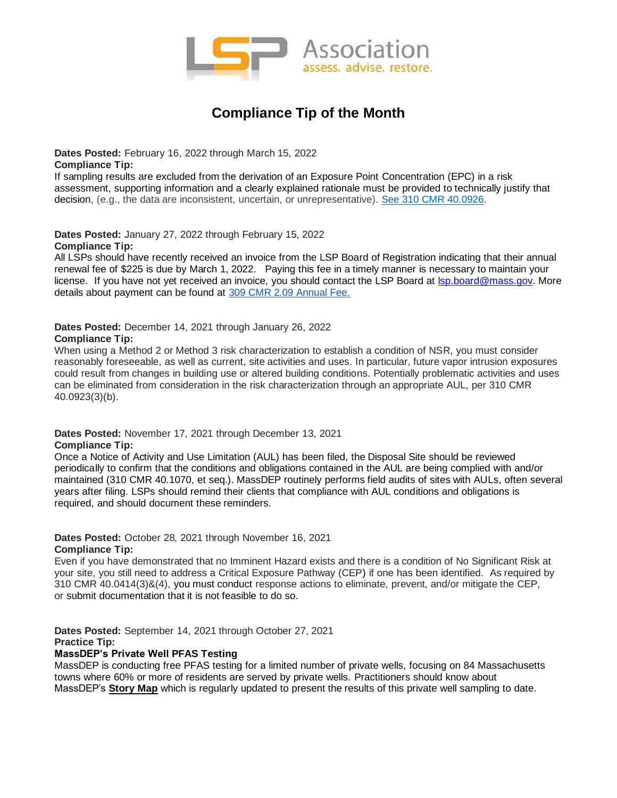

# **Compliance Tip of the Month**

**Dates Posted:** February 16, 2022 through March 15, 2022 **Compliance Tip:** 

If sampling results are excluded from the derivation of an Exposure Point Concentration (EPC) in a risk assessment, supporting information and a clearly explained rationale must be provided to technically justify that decision, (e.g., the data are inconsistent, uncertain, or unrepresentative). [See 310 CMR 40.0926.](https://lspa.memberclicks.net/feb-2022-compliance-tip-of-the-month)

**Dates Posted:** January 27, 2022 through February 15, 2022 **Compliance Tip:** 

All LSPs should have recently received an invoice from the LSP Board of Registration indicating that their annual renewal fee of \$225 is due by March 1, 2022. Paying this fee in a timely manner is necessary to maintain your license. If you have not yet received an invoice, you should contact the LSP Board at **Isp.board@mass.gov**. More details about payment can be found at [309 CMR 2.09 Annual Fee.](https://lspa.memberclicks.net/assets/Member_Materials/EXCERPT%20FROM%20309%20CMR%20re%202.09%20annual%20fee.pdf)

**Dates Posted:** December 14, 2021 through January 26, 2022

# **Compliance Tip:**

When using a Method 2 or Method 3 risk characterization to establish a condition of NSR, you must consider reasonably foreseeable, as well as current, site activities and uses. In particular, future vapor intrusion exposures could result from changes in building use or altered building conditions. Potentially problematic activities and uses can be eliminated from consideration in the risk characterization through an appropriate AUL, per 310 CMR 40.0923(3)(b).

#### **Dates Posted:** November 17, 2021 through December 13, 2021 **Compliance Tip:**

Once a Notice of Activity and Use Limitation (AUL) has been filed, the Disposal Site should be reviewed periodically to confirm that the conditions and obligations contained in the AUL are being complied with and/or maintained (310 CMR 40.1070, et seq.). MassDEP routinely performs field audits of sites with AULs, often several years after filing. LSPs should remind their clients that compliance with AUL conditions and obligations is required, and should document these reminders.

## **Dates Posted:** October 28, 2021 through November 16, 2021 **Compliance Tip:**

Even if you have demonstrated that no Imminent Hazard exists and there is a condition of No Significant Risk at your site, you still need to address a Critical Exposure Pathway (CEP) if one has been identified. As required by 310 CMR 40.0414(3)&(4), you must conduct response actions to eliminate, prevent, and/or mitigate the CEP, or submit documentation that it is not feasible to do so.

**Dates Posted:** September 14, 2021 through October 27, 2021

# **Practice Tip:**

# **MassDEP's Private Well PFAS Testing**

MassDEP is conducting free PFAS testing for a limited number of private wells, focusing on 84 Massachusetts towns where 60% or more of residents are served by private wells. Practitioners should know about MassDEP's **[Story Map](https://www.mass.gov/info-details/per-and-polyfluoroalkyl-substances-pfas-in-private-well-drinking-water-supplies-faq)** which is regularly updated to present the results of this private well sampling to date.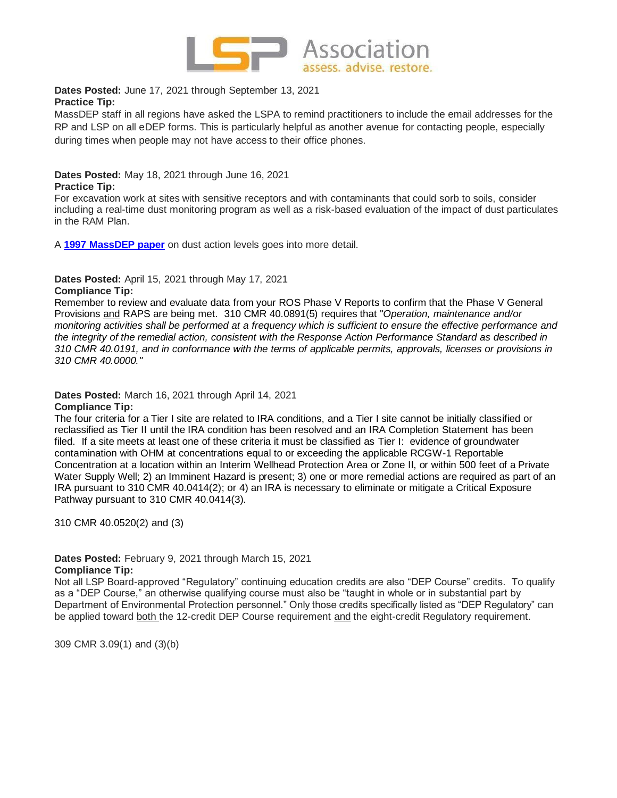

**Dates Posted:** June 17, 2021 through September 13, 2021 **Practice Tip:** 

MassDEP staff in all regions have asked the LSPA to remind practitioners to include the email addresses for the RP and LSP on all eDEP forms. This is particularly helpful as another avenue for contacting people, especially during times when people may not have access to their office phones.

**Dates Posted:** May 18, 2021 through June 16, 2021

# **Practice Tip:**

For excavation work at sites with sensitive receptors and with contaminants that could sorb to soils, consider including a real-time dust monitoring program as well as a risk-based evaluation of the impact of dust particulates in the RAM Plan.

A **[1997 MassDEP paper](https://lspa.memberclicks.net/assets/Docs/DOC040121-004_1993%20Dust%20Action%20Levels.pdf)** on dust action levels goes into more detail.

**Dates Posted:** April 15, 2021 through May 17, 2021

# **Compliance Tip:**

Remember to review and evaluate data from your ROS Phase V Reports to confirm that the Phase V General Provisions and RAPS are being met. 310 CMR 40.0891(5) requires that "*Operation, maintenance and/or monitoring activities shall be performed at a frequency which is sufficient to ensure the effective performance and the integrity of the remedial action, consistent with the Response Action Performance Standard as described in 310 CMR 40.0191, and in conformance with the terms of applicable permits, approvals, licenses or provisions in 310 CMR 40.0000."*

**Dates Posted:** March 16, 2021 through April 14, 2021 **Compliance Tip:**

The four criteria for a Tier I site are related to IRA conditions, and a Tier I site cannot be initially classified or reclassified as Tier II until the IRA condition has been resolved and an IRA Completion Statement has been filed. If a site meets at least one of these criteria it must be classified as Tier I: evidence of groundwater contamination with OHM at concentrations equal to or exceeding the applicable RCGW-1 Reportable Concentration at a location within an Interim Wellhead Protection Area or Zone II, or within 500 feet of a Private Water Supply Well; 2) an Imminent Hazard is present; 3) one or more remedial actions are required as part of an IRA pursuant to 310 CMR 40.0414(2); or 4) an IRA is necessary to eliminate or mitigate a Critical Exposure Pathway pursuant to 310 CMR 40.0414(3).

310 CMR 40.0520(2) and (3)

**Dates Posted:** February 9, 2021 through March 15, 2021 **Compliance Tip:**

Not all LSP Board-approved "Regulatory" continuing education credits are also "DEP Course" credits. To qualify as a "DEP Course," an otherwise qualifying course must also be "taught in whole or in substantial part by Department of Environmental Protection personnel." Only those credits specifically listed as "DEP Regulatory" can be applied toward both the 12-credit DEP Course requirement and the eight-credit Regulatory requirement.

309 CMR 3.09(1) and (3)(b)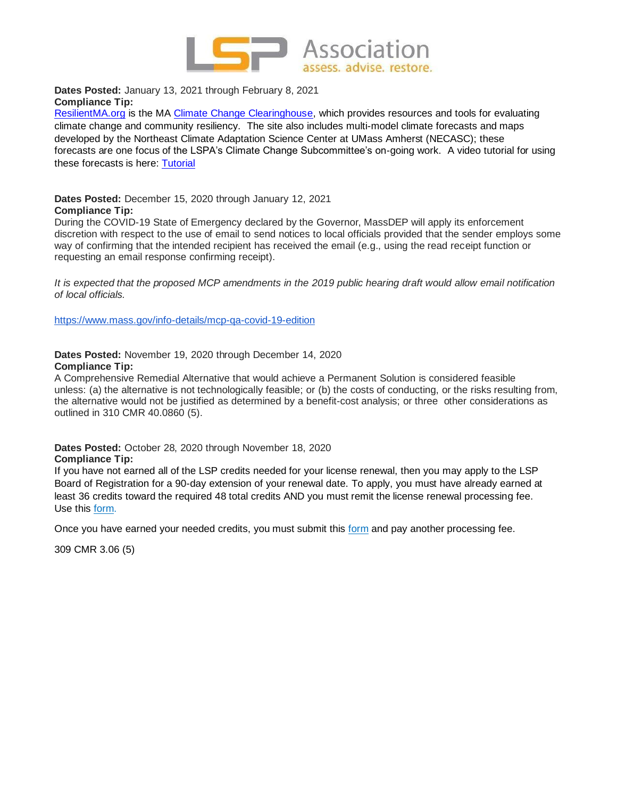

**Dates Posted:** January 13, 2021 through February 8, 2021 **Compliance Tip:**

[ResilientMA.org](https://nam04.safelinks.protection.outlook.com/?url=https%3A%2F%2Fprotect-us.mimecast.com%2Fs%2Fc882CR60AwIvZqP6i0ANV6%3Fdomain%3Dresilientma.org&data=04%7C01%7CMWade%40brwncald.com%7C50c3b835e5124188473108d8b422d5fa%7Ccb2bab3d7d9044ea9e31531011b1213d%7C0%7C0%7C637457409006762212%7CUnknown%7CTWFpbGZsb3d8eyJWIjoiMC4wLjAwMDAiLCJQIjoiV2luMzIiLCJBTiI6Ik1haWwiLCJXVCI6Mn0%3D%7C1000&sdata=3c6JZtLfeksCbKCbz44K%2BXppAOrzMTHgJeiaKht1Uwk%3D&reserved=0) is the MA [Climate Change Clearinghouse,](https://nam04.safelinks.protection.outlook.com/?url=https%3A%2F%2Fprotect-us.mimecast.com%2Fs%2FpggvCKr2qmF2p5xoiMGKD_%3Fdomain%3Dnam04.safelinks.protection.outlook.com&data=04%7C01%7CMWade%40brwncald.com%7C50c3b835e5124188473108d8b422d5fa%7Ccb2bab3d7d9044ea9e31531011b1213d%7C0%7C0%7C637457409006762212%7CUnknown%7CTWFpbGZsb3d8eyJWIjoiMC4wLjAwMDAiLCJQIjoiV2luMzIiLCJBTiI6Ik1haWwiLCJXVCI6Mn0%3D%7C1000&sdata=%2BYgZP4wJNE8fvVdDZhv73%2FztbKfArRIxHT3S7QTE1oc%3D&reserved=0) which provides resources and tools for evaluating climate change and community resiliency. The site also includes multi-model climate forecasts and maps developed by the Northeast Climate Adaptation Science Center at UMass Amherst (NECASC); these forecasts are one focus of the LSPA's Climate Change Subcommittee's on-going work. A video tutorial for using these forecasts is here: [Tutorial](https://nam04.safelinks.protection.outlook.com/?url=https%3A%2F%2Fprotect-us.mimecast.com%2Fs%2FartRCL92rnCR8nMWIqCeDb%3Fdomain%3Dnam04.safelinks.protection.outlook.com&data=04%7C01%7CMWade%40brwncald.com%7C50c3b835e5124188473108d8b422d5fa%7Ccb2bab3d7d9044ea9e31531011b1213d%7C0%7C0%7C637457409006772205%7CUnknown%7CTWFpbGZsb3d8eyJWIjoiMC4wLjAwMDAiLCJQIjoiV2luMzIiLCJBTiI6Ik1haWwiLCJXVCI6Mn0%3D%7C1000&sdata=nWLomaLdxfCK1bUy1FJz8lW5efWUm0cF6DQ8DkvDOag%3D&reserved=0)

**Dates Posted:** December 15, 2020 through January 12, 2021 **Compliance Tip:**

During the COVID-19 State of Emergency declared by the Governor, MassDEP will apply its enforcement discretion with respect to the use of email to send notices to local officials provided that the sender employs some way of confirming that the intended recipient has received the email (e.g., using the read receipt function or requesting an email response confirming receipt).

*It is expected that the proposed MCP amendments in the 2019 public hearing draft would allow email notification of local officials.*

<https://www.mass.gov/info-details/mcp-qa-covid-19-edition>

# **Dates Posted:** November 19, 2020 through December 14, 2020 **Compliance Tip:**

A Comprehensive Remedial Alternative that would achieve a Permanent Solution is considered feasible unless: (a) the alternative is not technologically feasible; or (b) the costs of conducting, or the risks resulting from, the alternative would not be justified as determined by a benefit-cost analysis; or three other considerations as outlined in 310 CMR 40.0860 (5).

**Dates Posted:** October 28, 2020 through November 18, 2020 **Compliance Tip:**

If you have not earned all of the LSP credits needed for your license renewal, then you may apply to the LSP Board of Registration for a 90-day extension of your renewal date. To apply, you must have already earned at least 36 credits toward the required 48 total credits AND you must remit the license renewal processing fee. Use this [form.](https://www.mass.gov/files/documents/2019/03/22/APPLICATION%20TO%20RENEW%20LSP%20LICENSE.pdf)

Once you have earned your needed credits, you must submit this [form](https://www.mass.gov/doc/supplemental-application-to-renew-lsp-license/download) and pay another processing fee.

309 CMR 3.06 (5)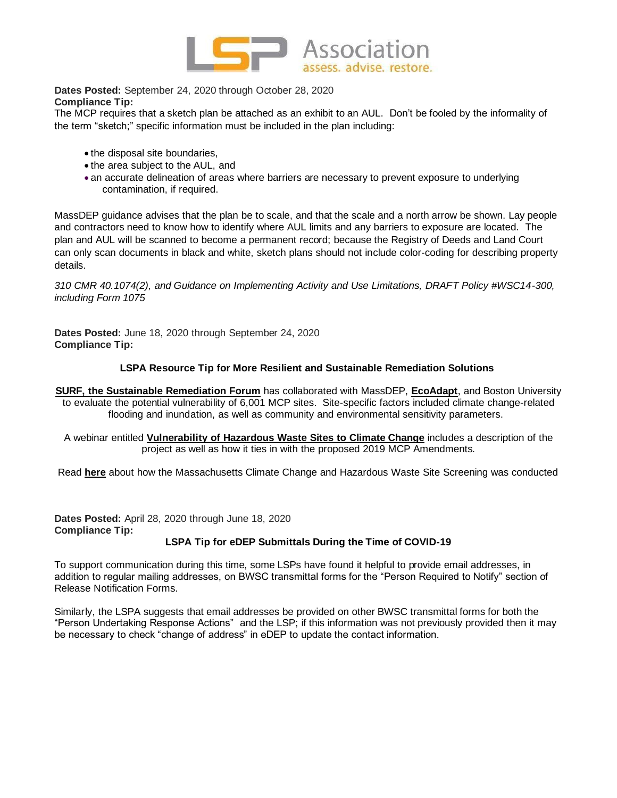

**Dates Posted:** September 24, 2020 through October 28, 2020 **Compliance Tip:**

The MCP requires that a sketch plan be attached as an exhibit to an AUL. Don't be fooled by the informality of the term "sketch;" specific information must be included in the plan including:

- the disposal site boundaries,
- the area subject to the AUL, and
- •an accurate delineation of areas where barriers are necessary to prevent exposure to underlying contamination, if required.

MassDEP guidance advises that the plan be to scale, and that the scale and a north arrow be shown. Lay people and contractors need to know how to identify where AUL limits and any barriers to exposure are located. The plan and AUL will be scanned to become a permanent record; because the Registry of Deeds and Land Court can only scan documents in black and white, sketch plans should not include color-coding for describing property details.

*310 CMR 40.1074(2), and Guidance on Implementing Activity and Use Limitations, DRAFT Policy #WSC14-300, including Form 1075*

**Dates Posted:** June 18, 2020 through September 24, 2020 **Compliance Tip:**

# **LSPA Resource Tip for More Resilient and Sustainable Remediation Solutions**

- **SURF, the Sustainable [Remediation](https://link.edgepilot.com/s/59f0fac3/36WMpGobuUKrZmLt4yL7iA?u=https://www.sustainableremediation.org/) Forum** has collaborated with MassDEP, **[EcoAdapt](https://link.edgepilot.com/s/5aefc310/ubmAlOAcck2fb0TjdPzzQA?u=http://ecoadapt.org/)**, and Boston University to evaluate the potential vulnerability of 6,001 MCP sites. Site-specific factors included climate change-related flooding and inundation, as well as community and environmental sensitivity parameters.
	- A webinar entitled **[Vulnerability](https://link.edgepilot.com/s/89624558/_XvGEiyP3UOSxkcVUqDT2g?u=https://www.youtube.com/watch?v=ynGvv3z_rAA) of Hazardous Waste Sites to Climate Change** includes a description of the project as well as how it ties in with the proposed 2019 MCP Amendments.

Read **[here](https://link.edgepilot.com/s/87a27614/rc7ctfcM-EGG2gSA3UEuSA?u=https://static1.squarespace.com/static/5a4eb702cd39c3e7d62cb562/t/5e3346c1d0bf5f06d275cbe3/1580418756484/MA%2BClimate%2B%2526%2BContaminants%2BScreening%2BReport%2BFINAL%2B6Dec2019.pdf)** about how the Massachusetts Climate Change and Hazardous Waste Site Screening was conducted

**Dates Posted:** April 28, 2020 through June 18, 2020 **Compliance Tip:**

## **LSPA Tip for eDEP Submittals During the Time of COVID-19**

To support communication during this time, some LSPs have found it helpful to provide email addresses, in addition to regular mailing addresses, on BWSC transmittal forms for the "Person Required to Notify" section of Release Notification Forms.

Similarly, the LSPA suggests that email addresses be provided on other BWSC transmittal forms for both the "Person Undertaking Response Actions" and the LSP; if this information was not previously provided then it may be necessary to check "change of address" in eDEP to update the contact information.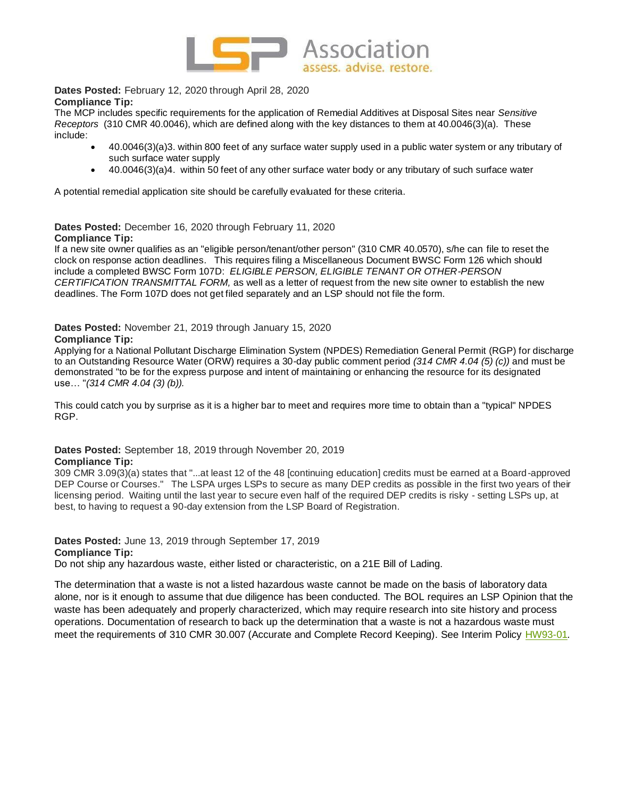

## **Dates Posted:** February 12, 2020 through April 28, 2020 **Compliance Tip:**

The MCP includes specific requirements for the application of Remedial Additives at Disposal Sites near *Sensitive Receptors* (310 CMR 40.0046), which are defined along with the key distances to them at 40.0046(3)(a). These include:

- 40.0046(3)(a)3. within 800 feet of any surface water supply used in a public water system or any tributary of such surface water supply
- 40.0046(3)(a)4. within 50 feet of any other surface water body or any tributary of such surface water

A potential remedial application site should be carefully evaluated for these criteria.

#### **Dates Posted:** December 16, 2020 through February 11, 2020 **Compliance Tip:**

If a new site owner qualifies as an "eligible person/tenant/other person" (310 CMR 40.0570), s/he can file to reset the clock on response action deadlines. This requires filing a Miscellaneous Document BWSC Form 126 which should include a completed BWSC Form 107D: *ELIGIBLE PERSON, ELIGIBLE TENANT OR OTHER-PERSON CERTIFICATION TRANSMITTAL FORM,* as well as a letter of request from the new site owner to establish the new deadlines. The Form 107D does not get filed separately and an LSP should not file the form.

# **Dates Posted:** November 21, 2019 through January 15, 2020

## **Compliance Tip:**

Applying for a National Pollutant Discharge Elimination System (NPDES) Remediation General Permit (RGP) for discharge to an Outstanding Resource Water (ORW) requires a 30-day public comment period *(314 CMR 4.04 (5) (c))* and must be demonstrated "to be for the express purpose and intent of maintaining or enhancing the resource for its designated use… "*(314 CMR 4.04 (3) (b)).*

This could catch you by surprise as it is a higher bar to meet and requires more time to obtain than a "typical" NPDES RGP.

# **Dates Posted:** September 18, 2019 through November 20, 2019

#### **Compliance Tip:**

309 CMR 3.09(3)(a) states that "...at least 12 of the 48 [continuing education] credits must be earned at a Board-approved DEP Course or Courses." The LSPA urges LSPs to secure as many DEP credits as possible in the first two years of their licensing period. Waiting until the last year to secure even half of the required DEP credits is risky - setting LSPs up, at best, to having to request a 90-day extension from the LSP Board of Registration.

# **Dates Posted:** June 13, 2019 through September 17, 2019

#### **Compliance Tip:**

Do not ship any hazardous waste, either listed or characteristic, on a 21E Bill of Lading.

The determination that a waste is not a listed hazardous waste cannot be made on the basis of laboratory data alone, nor is it enough to assume that due diligence has been conducted. The BOL requires an LSP Opinion that the waste has been adequately and properly characterized, which may require research into site history and process operations. Documentation of research to back up the determination that a waste is not a hazardous waste must meet the requirements of 310 CMR 30.007 (Accurate and Complete Record Keeping). See Interim Policy [HW93-01](http://www.mass.gov/eea/docs/dep/recycle/laws/hw9301.pdf)*.*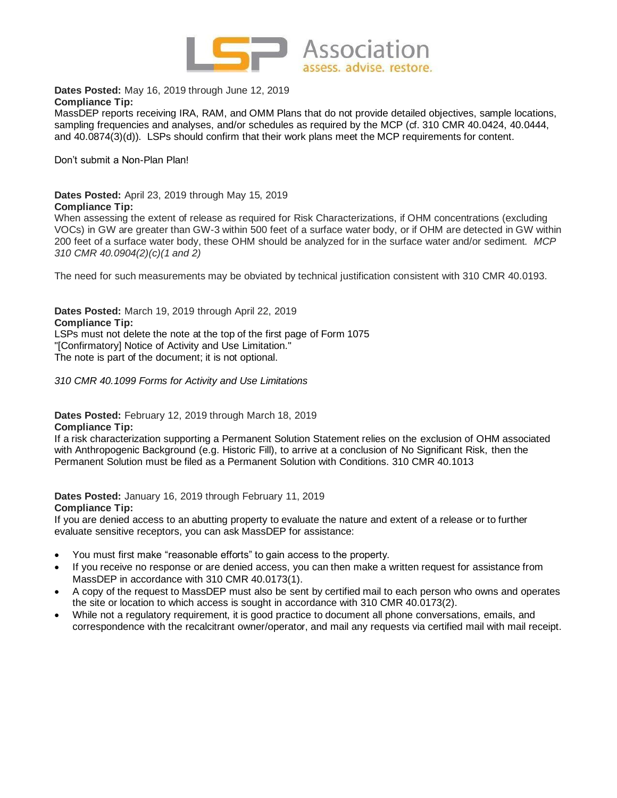

**Dates Posted:** May 16, 2019 through June 12, 2019 **Compliance Tip:**

MassDEP reports receiving IRA, RAM, and OMM Plans that do not provide detailed objectives, sample locations, sampling frequencies and analyses, and/or schedules as required by the MCP (cf. 310 CMR 40.0424, 40.0444, and 40.0874(3)(d)). LSPs should confirm that their work plans meet the MCP requirements for content.

Don't submit a Non-Plan Plan!

**Dates Posted:** April 23, 2019 through May 15, 2019 **Compliance Tip:**

When assessing the extent of release as required for Risk Characterizations, if OHM concentrations (excluding VOCs) in GW are greater than GW-3 within 500 feet of a surface water body, or if OHM are detected in GW within 200 feet of a surface water body, these OHM should be analyzed for in the surface water and/or sediment. *MCP 310 CMR 40.0904(2)(c)(1 and 2)*

The need for such measurements may be obviated by technical justification consistent with 310 CMR 40.0193.

**Dates Posted:** March 19, 2019 through April 22, 2019 **Compliance Tip:** LSPs must not delete the note at the top of the first page of Form 1075 "[Confirmatory] Notice of Activity and Use Limitation." The note is part of the document; it is not optional.

*310 CMR 40.1099 Forms for Activity and Use Limitations*

#### **Dates Posted:** February 12, 2019 through March 18, 2019 **Compliance Tip:**

If a risk characterization supporting a Permanent Solution Statement relies on the exclusion of OHM associated with Anthropogenic Background (e.g. Historic Fill), to arrive at a conclusion of No Significant Risk, then the Permanent Solution must be filed as a Permanent Solution with Conditions. 310 CMR 40.1013

**Dates Posted:** January 16, 2019 through February 11, 2019 **Compliance Tip:**

If you are denied access to an abutting property to evaluate the nature and extent of a release or to further evaluate sensitive receptors, you can ask MassDEP for assistance:

- You must first make "reasonable efforts" to gain access to the property.
- If you receive no response or are denied access, you can then make a written request for assistance from MassDEP in accordance with 310 CMR 40.0173(1).
- A copy of the request to MassDEP must also be sent by certified mail to each person who owns and operates the site or location to which access is sought in accordance with 310 CMR 40.0173(2).
- While not a regulatory requirement, it is good practice to document all phone conversations, emails, and correspondence with the recalcitrant owner/operator, and mail any requests via certified mail with mail receipt.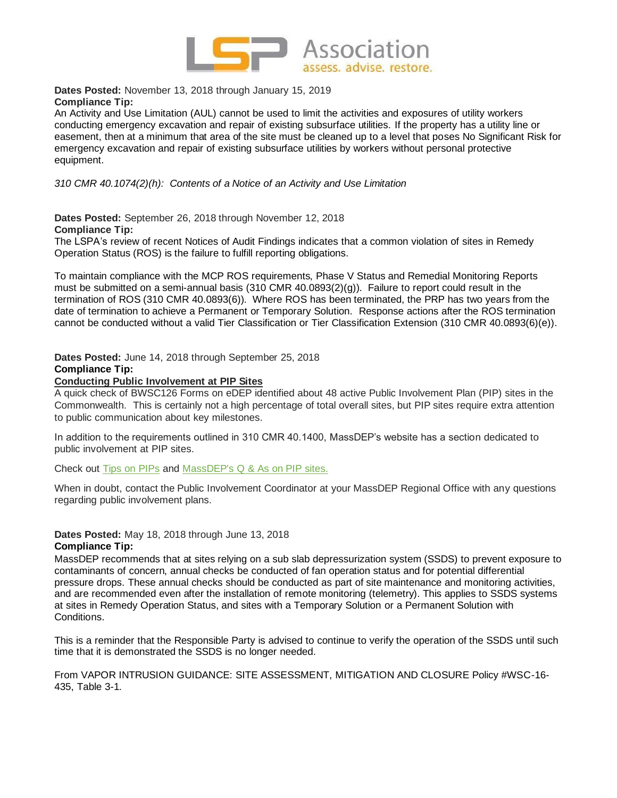

**Dates Posted:** November 13, 2018 through January 15, 2019 **Compliance Tip:**

An Activity and Use Limitation (AUL) cannot be used to limit the activities and exposures of utility workers conducting emergency excavation and repair of existing subsurface utilities. If the property has a utility line or easement, then at a minimum that area of the site must be cleaned up to a level that poses No Significant Risk for emergency excavation and repair of existing subsurface utilities by workers without personal protective equipment.

*310 CMR 40.1074(2)(h): Contents of a Notice of an Activity and Use Limitation*

**Dates Posted:** September 26, 2018 through November 12, 2018 **Compliance Tip:**

The LSPA's review of recent Notices of Audit Findings indicates that a common violation of sites in Remedy Operation Status (ROS) is the failure to fulfill reporting obligations.

To maintain compliance with the MCP ROS requirements, Phase V Status and Remedial Monitoring Reports must be submitted on a semi-annual basis (310 CMR 40.0893(2)(g)). Failure to report could result in the termination of ROS (310 CMR 40.0893(6)). Where ROS has been terminated, the PRP has two years from the date of termination to achieve a Permanent or Temporary Solution. Response actions after the ROS termination cannot be conducted without a valid Tier Classification or Tier Classification Extension (310 CMR 40.0893(6)(e)).

**Dates Posted:** June 14, 2018 through September 25, 2018 **Compliance Tip:**

## **Conducting Public Involvement at PIP Sites**

A quick check of BWSC126 Forms on eDEP identified about 48 active Public Involvement Plan (PIP) sites in the Commonwealth. This is certainly not a high percentage of total overall sites, but PIP sites require extra attention to public communication about key milestones.

In addition to the requirements outlined in 310 CMR 40.1400, MassDEP's website has a section dedicated to public involvement at PIP sites.

Check out [Tips on PIPs](https://www.mass.gov/files/documents/2017/12/19/Tips%20on%20PIPS%20-%20Understanding%20Public%20Involvement.pdf) and [MassDEP's Q & As on PIP sites.](https://www.mass.gov/files/documents/2017/12/19/MCP%20QA%20-%20Public%20Involvement%20Subpart%20N.pdf)

When in doubt, contact the Public Involvement Coordinator at your MassDEP Regional Office with any questions regarding public involvement plans.

**Dates Posted:** May 18, 2018 through June 13, 2018 **Compliance Tip:**

MassDEP recommends that at sites relying on a sub slab depressurization system (SSDS) to prevent exposure to contaminants of concern, annual checks be conducted of fan operation status and for potential differential pressure drops. These annual checks should be conducted as part of site maintenance and monitoring activities, and are recommended even after the installation of remote monitoring (telemetry). This applies to SSDS systems at sites in Remedy Operation Status, and sites with a Temporary Solution or a Permanent Solution with Conditions.

This is a reminder that the Responsible Party is advised to continue to verify the operation of the SSDS until such time that it is demonstrated the SSDS is no longer needed.

From VAPOR INTRUSION GUIDANCE: SITE ASSESSMENT, MITIGATION AND CLOSURE Policy #WSC-16- 435, Table 3-1*.*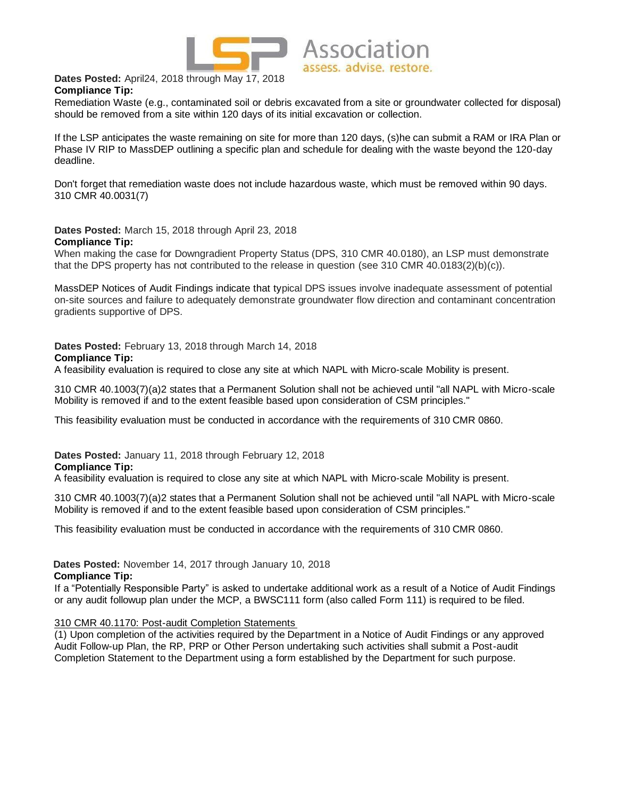

**Dates Posted:** April24, 2018 through May 17, 2018 **Compliance Tip:**

Remediation Waste (e.g., contaminated soil or debris excavated from a site or groundwater collected for disposal) should be removed from a site within 120 days of its initial excavation or collection.

If the LSP anticipates the waste remaining on site for more than 120 days, (s)he can submit a RAM or IRA Plan or Phase IV RIP to MassDEP outlining a specific plan and schedule for dealing with the waste beyond the 120-day deadline.

Don't forget that remediation waste does not include hazardous waste, which must be removed within 90 days. 310 CMR 40.0031(7)

**Dates Posted:** March 15, 2018 through April 23, 2018 **Compliance Tip:**

When making the case for Downgradient Property Status (DPS, 310 CMR 40.0180), an LSP must demonstrate that the DPS property has not contributed to the release in question (see 310 CMR 40.0183(2)(b)(c)).

MassDEP Notices of Audit Findings indicate that typical DPS issues involve inadequate assessment of potential on-site sources and failure to adequately demonstrate groundwater flow direction and contaminant concentration gradients supportive of DPS.

**Dates Posted:** February 13, 2018 through March 14, 2018 **Compliance Tip:**

A feasibility evaluation is required to close any site at which NAPL with Micro-scale Mobility is present.

310 CMR 40.1003(7)(a)2 states that a Permanent Solution shall not be achieved until "all NAPL with Micro-scale Mobility is removed if and to the extent feasible based upon consideration of CSM principles."

This feasibility evaluation must be conducted in accordance with the requirements of 310 CMR 0860.

**Dates Posted:** January 11, 2018 through February 12, 2018 **Compliance Tip:**

A feasibility evaluation is required to close any site at which NAPL with Micro-scale Mobility is present.

310 CMR 40.1003(7)(a)2 states that a Permanent Solution shall not be achieved until "all NAPL with Micro-scale Mobility is removed if and to the extent feasible based upon consideration of CSM principles."

This feasibility evaluation must be conducted in accordance with the requirements of 310 CMR 0860.

**Dates Posted:** November 14, 2017 through January 10, 2018

**Compliance Tip:**

If a "Potentially Responsible Party" is asked to undertake additional work as a result of a Notice of Audit Findings or any audit followup plan under the MCP, a BWSC111 form (also called Form 111) is required to be filed.

## 310 CMR 40.1170: Post-audit Completion Statements

(1) Upon completion of the activities required by the Department in a Notice of Audit Findings or any approved Audit Follow-up Plan, the RP, PRP or Other Person undertaking such activities shall submit a Post-audit Completion Statement to the Department using a form established by the Department for such purpose.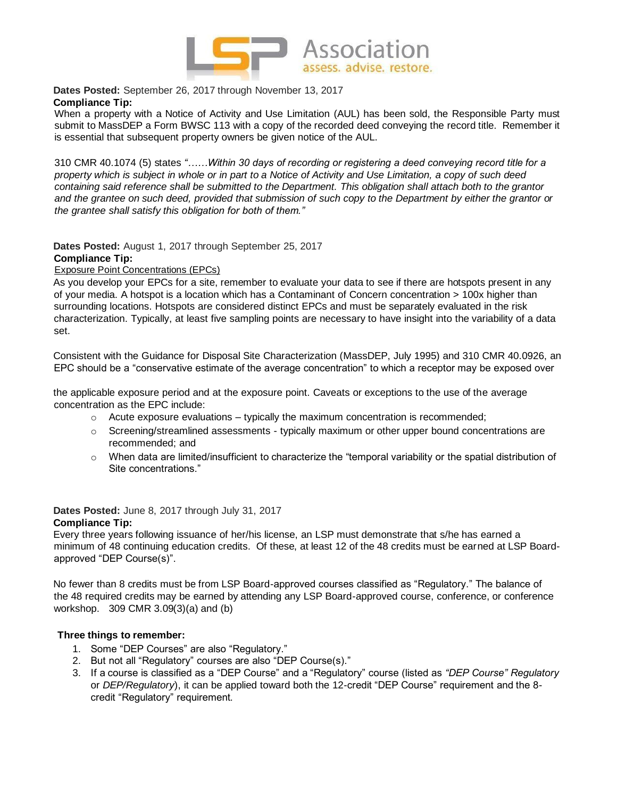

**Dates Posted:** September 26, 2017 through November 13, 2017 **Compliance Tip:**

When a property with a Notice of Activity and Use Limitation (AUL) has been sold, the Responsible Party must submit to MassDEP a Form BWSC 113 with a copy of the recorded deed conveying the record title. Remember it is essential that subsequent property owners be given notice of the AUL.

310 CMR 40.1074 (5) states *"……Within 30 days of recording or registering a deed conveying record title for a property which is subject in whole or in part to a Notice of Activity and Use Limitation, a copy of such deed containing said reference shall be submitted to the Department. This obligation shall attach both to the grantor and the grantee on such deed, provided that submission of such copy to the Department by either the grantor or the grantee shall satisfy this obligation for both of them."*

**Dates Posted:** August 1, 2017 through September 25, 2017 **Compliance Tip:**

Exposure Point Concentrations (EPCs)

As you develop your EPCs for a site, remember to evaluate your data to see if there are hotspots present in any of your media. A hotspot is a location which has a Contaminant of Concern concentration > 100x higher than surrounding locations. Hotspots are considered distinct EPCs and must be separately evaluated in the risk characterization. Typically, at least five sampling points are necessary to have insight into the variability of a data set.

Consistent with the Guidance for Disposal Site Characterization (MassDEP, July 1995) and 310 CMR 40.0926, an EPC should be a "conservative estimate of the average concentration" to which a receptor may be exposed over

the applicable exposure period and at the exposure point. Caveats or exceptions to the use of the average concentration as the EPC include:

- $\circ$  Acute exposure evaluations typically the maximum concentration is recommended;
- $\circ$  Screening/streamlined assessments typically maximum or other upper bound concentrations are recommended; and
- $\circ$  When data are limited/insufficient to characterize the "temporal variability or the spatial distribution of Site concentrations."

**Dates Posted:** June 8, 2017 through July 31, 2017 **Compliance Tip:**

Every three years following issuance of her/his license, an LSP must demonstrate that s/he has earned a minimum of 48 continuing education credits. Of these, at least 12 of the 48 credits must be earned at LSP Boardapproved "DEP Course(s)".

No fewer than 8 credits must be from LSP Board-approved courses classified as "Regulatory." The balance of the 48 required credits may be earned by attending any LSP Board-approved course, conference, or conference workshop. 309 CMR 3.09(3)(a) and (b)

# **Three things to remember:**

- 1. Some "DEP Courses" are also "Regulatory."
- 2. But not all "Regulatory" courses are also "DEP Course(s)."
- 3. If a course is classified as a "DEP Course" and a "Regulatory" course (listed as *"DEP Course" Regulatory*  or *DEP/Regulatory*), it can be applied toward both the 12-credit "DEP Course" requirement and the 8 credit "Regulatory" requirement.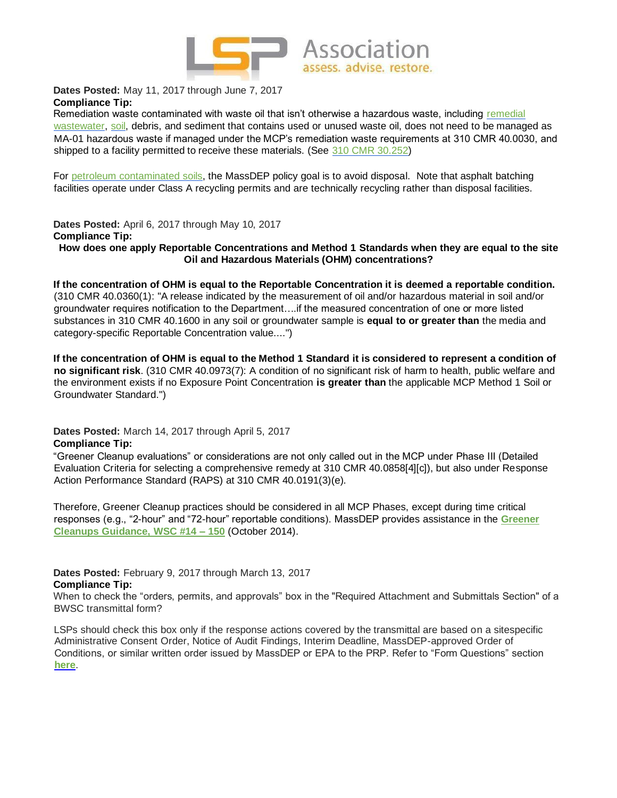

**Dates Posted:** May 11, 2017 through June 7, 2017 **Compliance Tip:**

Remediation waste contaminated with waste oil that isn't otherwise a hazardous waste, including [remedial](http://www.mass.gov/eea/docs/dep/recycle/laws/pcrwguid.pdf) [wastewater,](http://www.mass.gov/eea/docs/dep/recycle/laws/pcrwguid.pdf) [soil,](http://www.mass.gov/eea/docs/dep/recycle/laws/hw9301.pdf) debris, and sediment that contains used or unused waste oil, does not need to be managed as MA-01 hazardous waste if managed under the MCP's remediation waste requirements at 310 CMR 40.0030, and shipped to a facility permitted to receive these materials. (Se[e](http://www.mass.gov/eea/docs/dep/service/regulations/310cmr30.pdf) [310 CMR 30.252\)](http://www.mass.gov/eea/docs/dep/service/regulations/310cmr30.pdf)

For [petroleum contaminated soils,](http://www.mass.gov/eea/docs/dep/cleanup/laws/94-400.pdf) the MassDEP policy goal is to avoid disposal. Note that asphalt batching facilities operate under Class A recycling permits and are technically recycling rather than disposal facilities.

**Dates Posted:** April 6, 2017 through May 10, 2017 **Compliance Tip: How does one apply Reportable Concentrations and Method 1 Standards when they are equal to the site Oil and Hazardous Materials (OHM) concentrations?**

**If the concentration of OHM is equal to the Reportable Concentration it is deemed a reportable condition.** (310 CMR 40.0360(1): "A release indicated by the measurement of oil and/or hazardous material in soil and/or groundwater requires notification to the Department….if the measured concentration of one or more listed substances in 310 CMR 40.1600 in any soil or groundwater sample is **equal to or greater than** the media and category-specific Reportable Concentration value....")

**If the concentration of OHM is equal to the Method 1 Standard it is considered to represent a condition of no significant risk**. (310 CMR 40.0973(7): A condition of no significant risk of harm to health, public welfare and the environment exists if no Exposure Point Concentration **is greater than** the applicable MCP Method 1 Soil or Groundwater Standard.")

**Dates Posted:** March 14, 2017 through April 5, 2017 **Compliance Tip:**

"Greener Cleanup evaluations" or considerations are not only called out in the MCP under Phase III (Detailed Evaluation Criteria for selecting a comprehensive remedy at 310 CMR 40.0858[4][c]), but also under Response Action Performance Standard (RAPS) at 310 CMR 40.0191(3)(e).

Therefore, Greener Cleanup practices should be considered in all MCP Phases, except during time critical responses (e.g., "2-hour" and "72-hour" reportable conditions). MassDEP provides assistance in th[e](http://www.mass.gov/eea/docs/dep/cleanup/laws/14-150.pdf) **[Greener](http://www.mass.gov/eea/docs/dep/cleanup/laws/14-150.pdf)  [Cleanups Guidance, WSC #14 –](http://www.mass.gov/eea/docs/dep/cleanup/laws/14-150.pdf) [150](http://www.mass.gov/eea/docs/dep/cleanup/laws/14-150.pdf)** (October 2014).

#### **Dates Posted:** February 9, 2017 through March 13, 2017 **Compliance Tip:**

When to check the "orders, permits, and approvals" box in the "Required Attachment and Submittals Section" of a BWSC transmittal form?

LSPs should check this box only if the response actions covered by the transmittal are based on a sitespecific Administrative Consent Order, Notice of Audit Findings, Interim Deadline, MassDEP-approved Order of Conditions, or similar written order issued by MassDEP or EPA to the PRP. Refer to "Form Questions" section **[here](http://www.mass.gov/eea/agencies/massdep/cleanup/approvals/edep-and-waste-site-cleanup-frequently-asked-questions.html#IntheRequiredAttachmentandSubmittalsSectionofaBWSCtransmittalformwhatdoesthestatementbelowmeanThestatementisfoundonallBWSCtransmittalforms)**[.](http://www.mass.gov/eea/agencies/massdep/cleanup/approvals/edep-and-waste-site-cleanup-frequently-asked-questions.html#IntheRequiredAttachmentandSubmittalsSectionofaBWSCtransmittalformwhatdoesthestatementbelowmeanThestatementisfoundonallBWSCtransmittalforms)